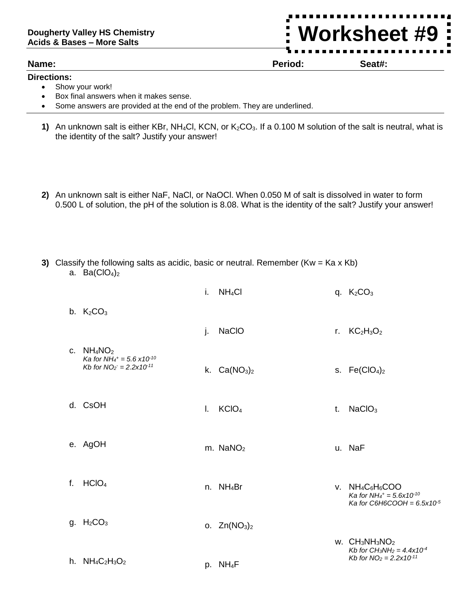## **Dougherty Valley HS Chemistry Acids & Bases – More Salts**

## **Name: Period: Seat#:**

## **Directions:**

- Show your work!
- Box final answers when it makes sense.
- Some answers are provided at the end of the problem. They are underlined.
- **1)** An unknown salt is either KBr, NH<sub>4</sub>Cl, KCN, or K<sub>2</sub>CO<sub>3</sub>. If a 0.100 M solution of the salt is neutral, what is the identity of the salt? Justify your answer!
- **2)** An unknown salt is either NaF, NaCl, or NaOCl. When 0.050 M of salt is dissolved in water to form 0.500 L of solution, the pH of the solution is 8.08. What is the identity of the salt? Justify your answer!
- **3)** Classify the following salts as acidic, basic or neutral. Remember (Kw = Ka x Kb) a. Ba $(CIO<sub>4</sub>)<sub>2</sub>$

|                                                                                                                      | i. | NH <sub>4</sub> Cl   |              | q. $K_2CO_3$                                                                                                   |
|----------------------------------------------------------------------------------------------------------------------|----|----------------------|--------------|----------------------------------------------------------------------------------------------------------------|
| b. $K_2CO_3$                                                                                                         |    |                      |              |                                                                                                                |
|                                                                                                                      | j. | <b>NaCIO</b>         | $r_{\rm{f}}$ | $KC2H3O2$                                                                                                      |
| c. $NH_4NO_2$<br>Ka for NH <sub>4</sub> <sup>+</sup> = 5.6 x10 <sup>-10</sup><br>Kb for $NO_2 = 2.2 \times 10^{-11}$ |    | k. $Ca(NO3)2$        |              | s. $Fe(CIO4)2$                                                                                                 |
| d. CsOH                                                                                                              | L. | KCIO <sub>4</sub>    | t.           | NaClO <sub>3</sub>                                                                                             |
| e. AgOH                                                                                                              |    | m. $NaNO2$           |              | u. NaF                                                                                                         |
| f. $HCIO4$                                                                                                           |    | n. $NH_4Br$          |              | v. $NH_4C_6H_6COO$<br>Ka for NH <sub>4</sub> + = $5.6x10^{-10}$<br>Ka for C6H6COOH = $6.5x10^{-5}$             |
| g. $H_2CO_3$                                                                                                         |    | o. $Zn(NO3)2$        |              |                                                                                                                |
|                                                                                                                      |    |                      |              | $W.$ CH <sub>3</sub> NH <sub>3</sub> NO <sub>2</sub><br>Kb for CH <sub>3</sub> NH <sub>2</sub> = $4.4x10^{-4}$ |
| h. $NH_4C_2H_3O_2$                                                                                                   |    | p. NH <sub>4</sub> F |              | Kb for $NO_2 = 2.2 \times 10^{-11}$                                                                            |